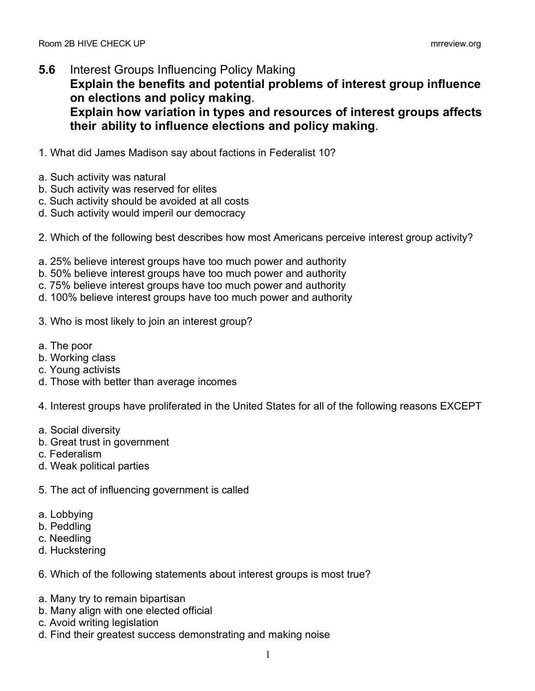- **5.6** Interest Groups Influencing Policy Making **Explain the benefits and potential problems of interest group influence on elections and policy making**. **Explain how variation in types and resources of interest groups affects their ability to influence elections and policy making**.
- 1. What did James Madison say about factions in Federalist 10?
- a. Such activity was natural
- b. Such activity was reserved for elites
- c. Such activity should be avoided at all costs
- d. Such activity would imperil our democracy
- 2. Which of the following best describes how most Americans perceive interest group activity?
- a. 25% believe interest groups have too much power and authority
- b. 50% believe interest groups have too much power and authority
- c. 75% believe interest groups have too much power and authority
- d. 100% believe interest groups have too much power and authority
- 3. Who is most likely to join an interest group?
- a. The poor
- b. Working class
- c. Young activists
- d. Those with better than average incomes

4. Interest groups have proliferated in the United States for all of the following reasons EXCEPT

- a. Social diversity
- b. Great trust in government
- c. Federalism
- d. Weak political parties
- 5. The act of influencing government is called
- a. Lobbying
- b. Peddling
- c. Needling
- d. Huckstering
- 6. Which of the following statements about interest groups is most true?
- a. Many try to remain bipartisan
- b. Many align with one elected official
- c. Avoid writing legislation
- d. Find their greatest success demonstrating and making noise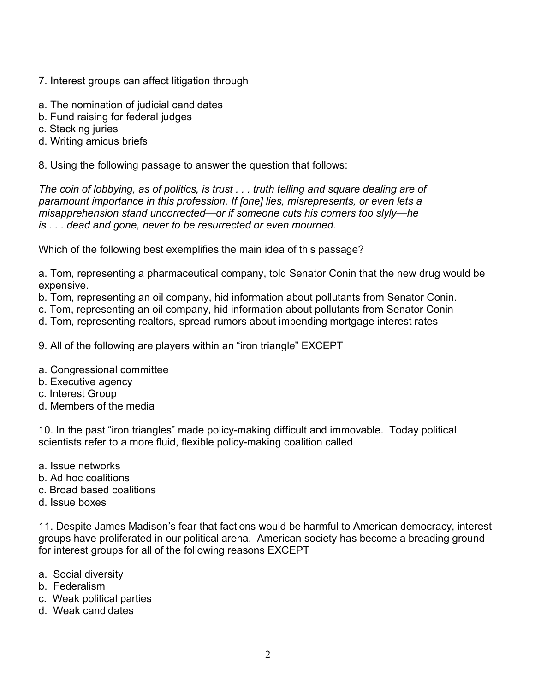- 7. Interest groups can affect litigation through
- a. The nomination of judicial candidates
- b. Fund raising for federal judges
- c. Stacking juries
- d. Writing amicus briefs

8. Using the following passage to answer the question that follows:

*The coin of lobbying, as of politics, is trust . . . truth telling and square dealing are of paramount importance in this profession. If [one] lies, misrepresents, or even lets a misapprehension stand uncorrected—or if someone cuts his corners too slyly—he is . . . dead and gone, never to be resurrected or even mourned.*

Which of the following best exemplifies the main idea of this passage?

a. Tom, representing a pharmaceutical company, told Senator Conin that the new drug would be expensive.

b. Tom, representing an oil company, hid information about pollutants from Senator Conin.

c. Tom, representing an oil company, hid information about pollutants from Senator Conin

d. Tom, representing realtors, spread rumors about impending mortgage interest rates

- 9. All of the following are players within an "iron triangle" EXCEPT
- a. Congressional committee
- b. Executive agency
- c. Interest Group
- d. Members of the media

10. In the past "iron triangles" made policy-making difficult and immovable. Today political scientists refer to a more fluid, flexible policy-making coalition called

- a. Issue networks
- b. Ad hoc coalitions
- c. Broad based coalitions
- d. Issue boxes

11. Despite James Madison's fear that factions would be harmful to American democracy, interest groups have proliferated in our political arena. American society has become a breading ground for interest groups for all of the following reasons EXCEPT

- a. Social diversity
- b. Federalism
- c. Weak political parties
- d. Weak candidates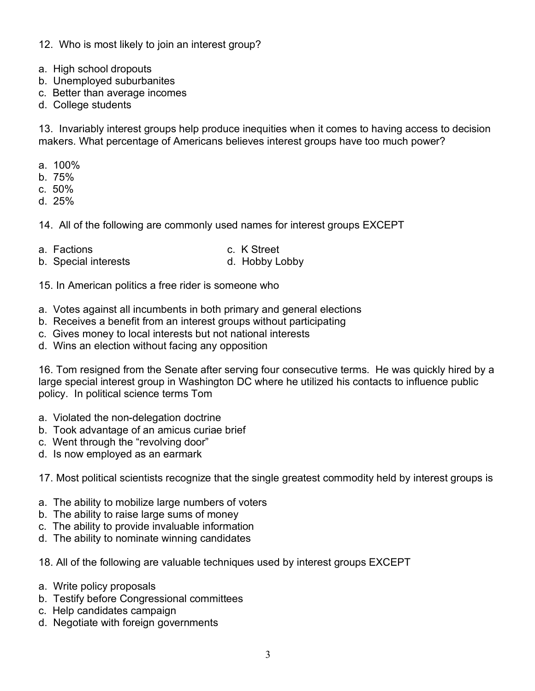- 12. Who is most likely to join an interest group?
- a. High school dropouts
- b. Unemployed suburbanites
- c. Better than average incomes
- d. College students

13. Invariably interest groups help produce inequities when it comes to having access to decision makers. What percentage of Americans believes interest groups have too much power?

- a. 100%
- b. 75%
- c. 50%
- d. 25%
- 14. All of the following are commonly used names for interest groups EXCEPT
- a. Factions c. K Street
- b. Special interests d. Hobby Lobby
- 

15. In American politics a free rider is someone who

- a. Votes against all incumbents in both primary and general elections
- b. Receives a benefit from an interest groups without participating
- c. Gives money to local interests but not national interests
- d. Wins an election without facing any opposition

16. Tom resigned from the Senate after serving four consecutive terms. He was quickly hired by a large special interest group in Washington DC where he utilized his contacts to influence public policy. In political science terms Tom

- a. Violated the non-delegation doctrine
- b. Took advantage of an amicus curiae brief
- c. Went through the "revolving door"
- d. Is now employed as an earmark

17. Most political scientists recognize that the single greatest commodity held by interest groups is

- a. The ability to mobilize large numbers of voters
- b. The ability to raise large sums of money
- c. The ability to provide invaluable information
- d. The ability to nominate winning candidates
- 18. All of the following are valuable techniques used by interest groups EXCEPT
- a. Write policy proposals
- b. Testify before Congressional committees
- c. Help candidates campaign
- d. Negotiate with foreign governments